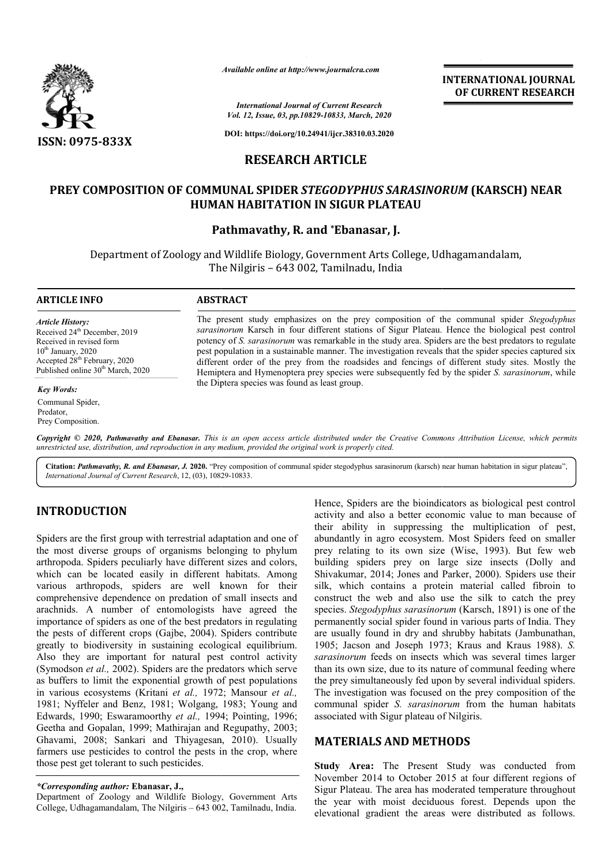

*Available online at http://www.journalcra.com*

*International Journal of Current Research Vol. 12, Issue, 03, pp.10829-10833, March, 2020*

**DOI: https://doi.org/10.24941/ijcr.38310.03.2020**

# **RESEARCH ARTICLE**

## **PREY COMPOSITION OF COMMUNAL SPIDER**  *STEGODYPHUS SARASINORUM*  **(KARSCH) NEAR HUMAN HABITATION IN SIGUR PLATEAU**

## **Pathmavathy, R. and \*Ebanasar, J.**

Department of Zoology and Wildlife Biology, Government Arts College, Udhagamandalam, The Nilgiris – 643 002, Tamilnadu, India

### **ARTICLE INFO ABSTRACT**

*Article History:* Received 24<sup>th</sup> December, 2019 Received in revised form  $10<sup>th</sup>$  January, 2020 Accepted 28th February, 2020 Published online 30<sup>th</sup> March, 2020

*Key Words:*

Communal Spider, Predator, Prey Composition.

The present study emphasizes on the prey composition of the communal spider Stegodyphus *sarasinorum*  Karsch in four different stations of Sigur Plateau. Hence the biological pest control potency of *S. sarasinorum* was remarkable in the study area. Spiders are the best predators to regulate pest population in a sustainable manner. The investigation reveals that the spider species captured six sarasinorum Karsch in four different stations of Sigur Plateau. Hence the biological pest control potency of S. sarasinorum was remarkable in the study area. Spiders are the best predators to regulate pest population in a Hemiptera and Hymenoptera prey species were subsequently fed by the spider *S. sarasinorum*, while the Diptera species was found as least group.

Copyright © 2020, Pathmavathy and Ebanasar. This is an open access article distributed under the Creative Commons Attribution License, which permits *unrestricted use, distribution, and reproduction in any medium, provided the original work is properly cited.*

Citation: Pathmavathy, R. and Ebanasar, J. 2020. "Prey composition of communal spider stegodyphus sarasinorum (karsch) near human habitation in sigur plateau", *International Journal of Current Research*, 12, (03), 10829 10829-10833.

## **INTRODUCTION**

Spiders are the first group with terrestrial adaptation and one of the most diverse groups of organisms belonging to phylum arthropoda. Spiders peculiarly have different sizes and colors, which can be located easily in different habitats. Among various arthropods, spiders are well known f for their comprehensive dependence on predation of small insects and arachnids. A number of entomologists have agreed the importance of spiders as one of the best predators in regulating the pests of different crops (Gajbe, 2004). Spiders contribute greatly to biodiversity in sustaining ecological equilibrium. Also they are important for natural pest control activity (Symodson *et al.,* 2002). Spiders are the predators which serve as buffers to limit the exponential growth of pest populations in various ecosystems (Kritani *et al.,* 1972; Mansour *et al.,* 1981; Nyffeler and Benz, 1981; Wolgang, 1983; Young and Edwards, 1990; Eswaramoorthy *et al.,* 1994; Pointing, 1996; Geetha and Gopalan, 1999; Mathirajan and Regupathy, 2003; Ghavami, 2008; Sankari and Thiyagesan, 2010). Usually farmers use pesticides to control the pests in the crop, where those pest get tolerant to such pesticides.

Department of Zoology and Wildlife Biology, Government Arts College, Udhagamandalam, The Nilgiris - 643 002, Tamilnadu, India.

Hence, Spiders are the bioindicators as biological pest control Hence, Spiders are the bioindicators as biological pest control activity and also a better economic value to man because of their ability in suppressing the multiplication of pest, abundantly in agro ecosystem. Most Spiders feed on smaller prey relating to its own size (Wise, 1993). But few web building spiders prey on large size insects (Dolly and Shivakumar, 2014; Jones and Parker, 2000). Spiders use their silk, which contains a protein material called fibroin to construct the web and also use the silk to catch the prey species. Stegodyphus sarasinorum (Karsch, 1891) is one of the permanently social spider found in various parts of India. They are usually found in dry and shrubby habitats (Jambunathan, permanently social spider found in various parts of India. They are usually found in dry and shrubby habitats (Jambunathan, 1905; Jacson and Joseph 1973; Kraus and Kraus 1988). *S*. *sarasinorum* feeds on insects which was several times larger than its own size, due to its nature of communal feeding where the prey simultaneously fed upon by several individual spiders. The investigation was focused on the prey composition of the communal spider *S. sarasinorum*  associated with Sigur plateau of Nilgiris. rey relating to its own size (Wise, 1993). But few<br>uilding spiders prey on large size insects (Dolly<br>hivakumar, 2014; Jones and Parker, 2000). Spiders use<br>ilk, which contains a protein material called fibro<br>onstruct the we feeds on insects which was several times larger<br>size, due to its nature of communal feeding where<br>Itaneously fed upon by several individual spiders.<br>tion was focused on the prey composition of the<br>bider S. sarasinorum from **EXERCIST ANTIONAL FORMAL SET ASSEMBLEM**<br> **SERVIT ASSEMANT COVERENT RESERARCH**<br> **SERVIT ASSEMANT ANTIONAL COVERENT RESERARCH**<br> **DE CURRENT RESERARCH**<br> **EXERCISE ART ASSEMANT ANTIONAL (KARSCH) NEAR<br>
<b>REPLATEAU**<br> **EXERCISE A** 

## **MATERIALS AND METHODS METHODS**

**Study Area:** The Present Study was conducted from **Study Area:** The Present Study was conducted from<br>November 2014 to October 2015 at four different regions of Sigur Plateau. The area has moderated temperature throughout the year with moist deciduous forest. Depends upon the elevational gradient the areas were distributed as follows.

**INTERNATIONAL JOURNAL OF CURRENT RESEARCH**

*<sup>\*</sup>Corresponding author:* **Ebanasar, J.,**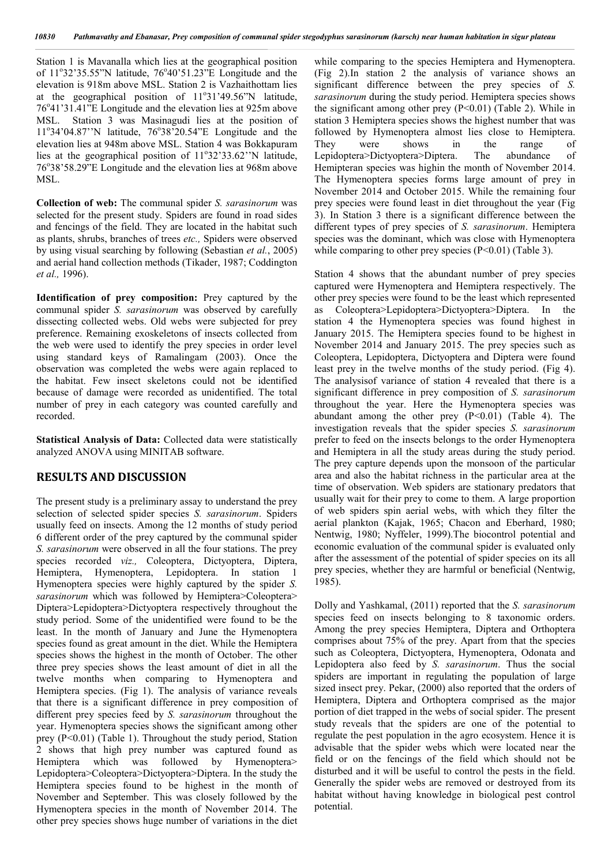Station 1 is Mavanalla which lies at the geographical position of 11°32'35.55"N latitude, 76°40'51.23"E Longitude and the elevation is 918m above MSL. Station 2 is Vazhaithottam lies at the geographical position of 11°31'49.56"N latitude, 76°41'31.41"E Longitude and the elevation lies at 925m above MSL. Station 3 was Masinagudi lies at the position of 11°34'04.87''N latitude, 76°38'20.54"E Longitude and the elevation lies at 948m above MSL. Station 4 was Bokkapuram lies at the geographical position of 11°32'33.62"N latitude, 76°38'58.29"E Longitude and the elevation lies at 968m above MSL.

**Collection of web:** The communal spider *S. sarasinorum* was selected for the present study. Spiders are found in road sides and fencings of the field. They are located in the habitat such as plants, shrubs, branches of trees *etc.,* Spiders were observed by using visual searching by following (Sebastian *et al.*, 2005) and aerial hand collection methods (Tikader, 1987; Coddington *et al.,* 1996).

**Identification of prey composition:** Prey captured by the communal spider *S. sarasinorum* was observed by carefully dissecting collected webs. Old webs were subjected for prey preference. Remaining exoskeletons of insects collected from the web were used to identify the prey species in order level using standard keys of Ramalingam (2003). Once the observation was completed the webs were again replaced to the habitat. Few insect skeletons could not be identified because of damage were recorded as unidentified. The total number of prey in each category was counted carefully and recorded.

**Statistical Analysis of Data:** Collected data were statistically analyzed ANOVA using MINITAB software.

## **RESULTS AND DISCUSSION**

The present study is a preliminary assay to understand the prey selection of selected spider species *S. sarasinorum*. Spiders usually feed on insects. Among the 12 months of study period 6 different order of the prey captured by the communal spider *S. sarasinorum* were observed in all the four stations. The prey species recorded *viz.,* Coleoptera, Dictyoptera, Diptera, Hemiptera, Hymenoptera, Lepidoptera. In station 1 Hymenoptera species were highly captured by the spider *S. sarasinorum* which was followed by Hemiptera>Coleoptera> Diptera>Lepidoptera>Dictyoptera respectively throughout the study period. Some of the unidentified were found to be the least. In the month of January and June the Hymenoptera species found as great amount in the diet. While the Hemiptera species shows the highest in the month of October. The other three prey species shows the least amount of diet in all the twelve months when comparing to Hymenoptera and Hemiptera species. (Fig 1). The analysis of variance reveals that there is a significant difference in prey composition of different prey species feed by *S. sarasinorum* throughout the year. Hymenoptera species shows the significant among other prey (P<0.01) (Table 1). Throughout the study period, Station 2 shows that high prey number was captured found as Hemiptera which was followed by Hymenoptera> Lepidoptera>Coleoptera>Dictyoptera>Diptera. In the study the Hemiptera species found to be highest in the month of November and September. This was closely followed by the Hymenoptera species in the month of November 2014. The other prey species shows huge number of variations in the diet

while comparing to the species Hemiptera and Hymenoptera. (Fig 2).In station 2 the analysis of variance shows an significant difference between the prey species of *S. sarasinorum* during the study period. Hemiptera species shows the significant among other prey  $(P<0.01)$  (Table 2). While in station 3 Hemiptera species shows the highest number that was followed by Hymenoptera almost lies close to Hemiptera. They were shows in the range of Lepidoptera>Dictyoptera>Diptera. The abundance of Hemipteran species was highin the month of November 2014. The Hymenoptera species forms large amount of prey in November 2014 and October 2015. While the remaining four prey species were found least in diet throughout the year (Fig 3). In Station 3 there is a significant difference between the different types of prey species of *S. sarasinorum*. Hemiptera species was the dominant, which was close with Hymenoptera while comparing to other prey species  $(P<0.01)$  (Table 3).

Station 4 shows that the abundant number of prey species captured were Hymenoptera and Hemiptera respectively. The other prey species were found to be the least which represented as Coleoptera>Lepidoptera>Dictyoptera>Diptera. In the station 4 the Hymenoptera species was found highest in January 2015. The Hemiptera species found to be highest in November 2014 and January 2015. The prey species such as Coleoptera, Lepidoptera, Dictyoptera and Diptera were found least prey in the twelve months of the study period. (Fig 4). The analysisof variance of station 4 revealed that there is a significant difference in prey composition of *S. sarasinorum* throughout the year. Here the Hymenoptera species was abundant among the other prey  $(P<0.01)$  (Table 4). The investigation reveals that the spider species *S. sarasinorum* prefer to feed on the insects belongs to the order Hymenoptera and Hemiptera in all the study areas during the study period. The prey capture depends upon the monsoon of the particular area and also the habitat richness in the particular area at the time of observation. Web spiders are stationary predators that usually wait for their prey to come to them. A large proportion of web spiders spin aerial webs, with which they filter the aerial plankton (Kajak, 1965; Chacon and Eberhard, 1980; Nentwig, 1980; Nyffeler, 1999).The biocontrol potential and economic evaluation of the communal spider is evaluated only after the assessment of the potential of spider species on its all prey species, whether they are harmful or beneficial (Nentwig, 1985).

Dolly and Yashkamal, (2011) reported that the *S. sarasinorum* species feed on insects belonging to 8 taxonomic orders. Among the prey species Hemiptera, Diptera and Orthoptera comprises about 75% of the prey. Apart from that the species such as Coleoptera, Dictyoptera, Hymenoptera, Odonata and Lepidoptera also feed by *S. sarasinorum*. Thus the social spiders are important in regulating the population of large sized insect prey. Pekar, (2000) also reported that the orders of Hemiptera, Diptera and Orthoptera comprised as the major portion of diet trapped in the webs of social spider. The present study reveals that the spiders are one of the potential to regulate the pest population in the agro ecosystem. Hence it is advisable that the spider webs which were located near the field or on the fencings of the field which should not be disturbed and it will be useful to control the pests in the field. Generally the spider webs are removed or destroyed from its habitat without having knowledge in biological pest control potential.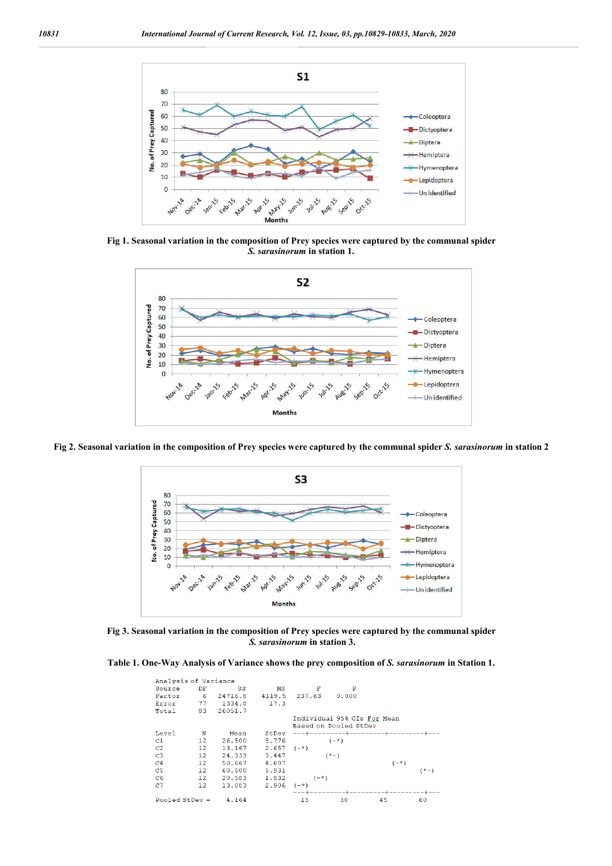

**Fig 1. Seasonal variation in the composition of Prey species were captured by the communal spider**  *S. sarasinorum* **in station 1.**



**Fig 2. Seasonal variation in the composition of Prey species were captured by the communal spider** *S. sarasinorum* **in station 2**



**Fig 3. Seasonal variation in the composition of Prey species were captured by the communal spider**  *S. sarasinorum* **in station 3.**

|  | Table 1. One-Way Analysis of Variance shows the prey composition of S. sarasinorum in Station 1. |  |  |  |
|--|--------------------------------------------------------------------------------------------------|--|--|--|
|  |                                                                                                  |  |  |  |

| Analysis of Variance |                 |         |        |        |                             |                                     |        |
|----------------------|-----------------|---------|--------|--------|-----------------------------|-------------------------------------|--------|
| Source               | DF              | SS      | мs     | F      | P                           |                                     |        |
| Factor               | -6              | 24716.8 | 4119.5 | 237.63 | 0.000                       |                                     |        |
| Error                | 77              | 1334.8  | 17.3   |        |                             |                                     |        |
| Total                | 83              | 26051.7 |        |        |                             |                                     |        |
|                      |                 |         |        |        | Individual 95% CIs For Mean |                                     |        |
|                      |                 |         |        |        | Based on Pooled StDev       |                                     |        |
| Level                | N               | Mean    | StDev  |        |                             | ---+---------+--------------------- |        |
| C1                   | 12 <sub>1</sub> | 26.500  | 5.776  |        | $(-*)$                      |                                     |        |
| C <sub>2</sub>       | 12              | 13.167  | 2.657  | $(-*)$ |                             |                                     |        |
| C <sub>3</sub>       | 12              | 24.333  | 3.447  |        | $(*-)$                      |                                     |        |
| C <sub>4</sub>       | 12              | 50.667  | 4.697  |        |                             | $(-*)$                              |        |
| C <sub>5</sub>       | 12              | 60.500  | 5.931  |        |                             |                                     | $(*-)$ |
| C6                   | 12              | 20.583  | 1.832  | $(-*)$ |                             |                                     |        |
| C <sub>7</sub>       | 12              | 13.083  | 2.906  | $(-*)$ |                             |                                     |        |
|                      |                 |         |        |        | ---+---                     |                                     |        |
| Pooled StDev $=$     |                 | 4.164   |        | 15     | 30                          | 45                                  | 60     |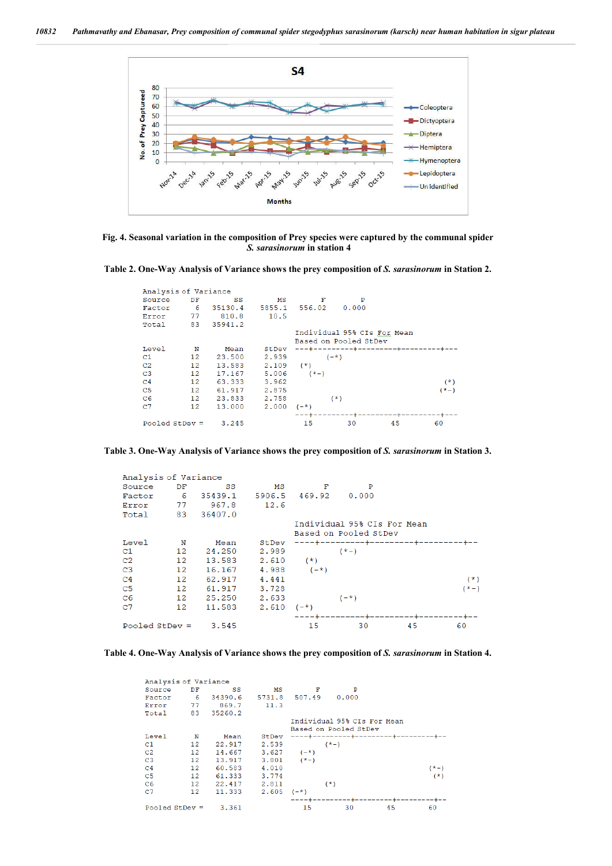

**Fig. 4. Seasonal variation in the composition of Prey species were captured by the communal spider**  *S. sarasinorum* **in station 4**



| Analysis of Variance    |                             |            |        |        |                       |                                       |        |
|-------------------------|-----------------------------|------------|--------|--------|-----------------------|---------------------------------------|--------|
| Source                  | DF                          | SS         | мs     | F      | P                     |                                       |        |
| Factor                  | - 6                         | 35130.4    | 5855.1 | 556.02 | 0.000                 |                                       |        |
| Error                   | 77                          | 810.8      | 10.5   |        |                       |                                       |        |
| Total                   |                             | 83 35941.2 |        |        |                       |                                       |        |
|                         | Individual 95% CIs For Mean |            |        |        |                       |                                       |        |
|                         |                             |            |        |        | Based on Pooled StDev |                                       |        |
| Level                   | N                           | Mean       | StDev  |        |                       | ---+---------+--------+-------------- |        |
| C1                      | $12 \overline{ }$           | 23.500     | 2.939  |        | $(-*)$                |                                       |        |
| C <sub>2</sub>          | 12                          | 13.583     | 2.109  | $(*)$  |                       |                                       |        |
| C <sub>3</sub>          | 12                          | 17.167     | 5.006  | $(*-)$ |                       |                                       |        |
| C <sub>4</sub>          | 12                          | 63.333     | 3.962  |        |                       |                                       | $(*)$  |
| C <sub>5</sub>          | 12                          | 61.917     | 2.875  |        |                       |                                       | $(*-)$ |
| C6                      | $12 \overline{ }$           | 23.833     | 2.758  |        | $(*)$                 |                                       |        |
| C <sub>7</sub>          | 12                          | 13,000     | 2,000  | $(-*)$ |                       |                                       |        |
|                         |                             |            |        |        |                       |                                       |        |
| Pooled StDev =<br>3.245 |                             |            | 15     | 30     | 45                    | 60                                    |        |

**Table 3. One-Way Analysis of Variance shows the prey composition of** *S. sarasinorum* **in Station 3.**

| Analysis of Variance      |                   |            |        |        |                                   |  |        |
|---------------------------|-------------------|------------|--------|--------|-----------------------------------|--|--------|
| Source                    | DF                | SS         | МS     | F      | P                                 |  |        |
| Factor                    | - 6               | 35439.1    | 5906.5 | 469.92 | 0.000                             |  |        |
| Error                     | 77                | 967.8      | 12.6   |        |                                   |  |        |
| Total                     |                   | 83 36407.0 |        |        |                                   |  |        |
|                           |                   |            |        |        | Individual 95% CIs For Mean       |  |        |
|                           |                   |            |        |        | Based on Pooled StDev             |  |        |
| Level                     | N                 | Mean       | StDev  |        | ----+---------+------------------ |  |        |
| C1                        | 12                | 24,250     | 2.989  |        | $(*-)$                            |  |        |
| C <sub>2</sub>            | 12                | 13.583     | 2.610  | $(*)$  |                                   |  |        |
| C <sub>3</sub>            | 12                | 16.167     | 4.988  | $(-*)$ |                                   |  |        |
| C <sub>4</sub>            | $12 \overline{ }$ | 62.917     | 4.441  |        |                                   |  | $(*)$  |
| C <sub>5</sub>            | 12                | 61.917     | 3.728  |        |                                   |  | $(*-)$ |
| C6                        | 12                | 25.250     | 2.633  |        | $(-*)$                            |  |        |
| C <sub>7</sub>            | 12                | 11.583     | 2.610  | $(-*)$ |                                   |  |        |
|                           |                   |            |        |        |                                   |  |        |
| Pooled $StDev =$<br>3.545 |                   | 15         | 30     | 45     | 60                                |  |        |
|                           |                   |            |        |        |                                   |  |        |



| Analysis of Variance      |                   |            |        |                |                                 |    |        |
|---------------------------|-------------------|------------|--------|----------------|---------------------------------|----|--------|
| Source                    | DF                | SS         | мs     | F              | P                               |    |        |
| Factor                    | -6                | 34390.6    | 5731.8 | 507.49         | 0.000                           |    |        |
| Error                     | 77                | 869.7      | 11.3   |                |                                 |    |        |
| Total                     |                   | 83 35260.2 |        |                |                                 |    |        |
|                           |                   |            |        |                | Individual 95% CIs For Mean     |    |        |
|                           |                   |            |        |                | Based on Pooled StDev           |    |        |
| Level                     | N                 | Mean       | StDev  |                | ----+--------+--------+-------- |    |        |
| C1                        | $12 \,$           | 22.917     | 2.539  |                | $(*-)$                          |    |        |
| C <sub>2</sub>            | 12                | 14.667     | 3.627  | $(-*)$         |                                 |    |        |
| C <sub>3</sub>            | 12                | 13.917     |        | $3.801$ $(*-)$ |                                 |    |        |
| C <sub>4</sub>            | $12 \overline{ }$ | 60.583     | 4.010  |                |                                 |    | $(*-)$ |
| C5                        | 12 <sub>1</sub>   | 61.333     | 3.774  |                |                                 |    | $(*)$  |
| C6                        | 12                | 22.417     | 2.811  |                | $(*)$                           |    |        |
| C <sub>7</sub>            | 12                | 11.333     | 2.605  | $(-*)$         |                                 |    |        |
|                           |                   |            |        |                |                                 |    |        |
| Pooled StDev $=$<br>3.361 |                   |            | 15     | 30             | 45                              | 60 |        |